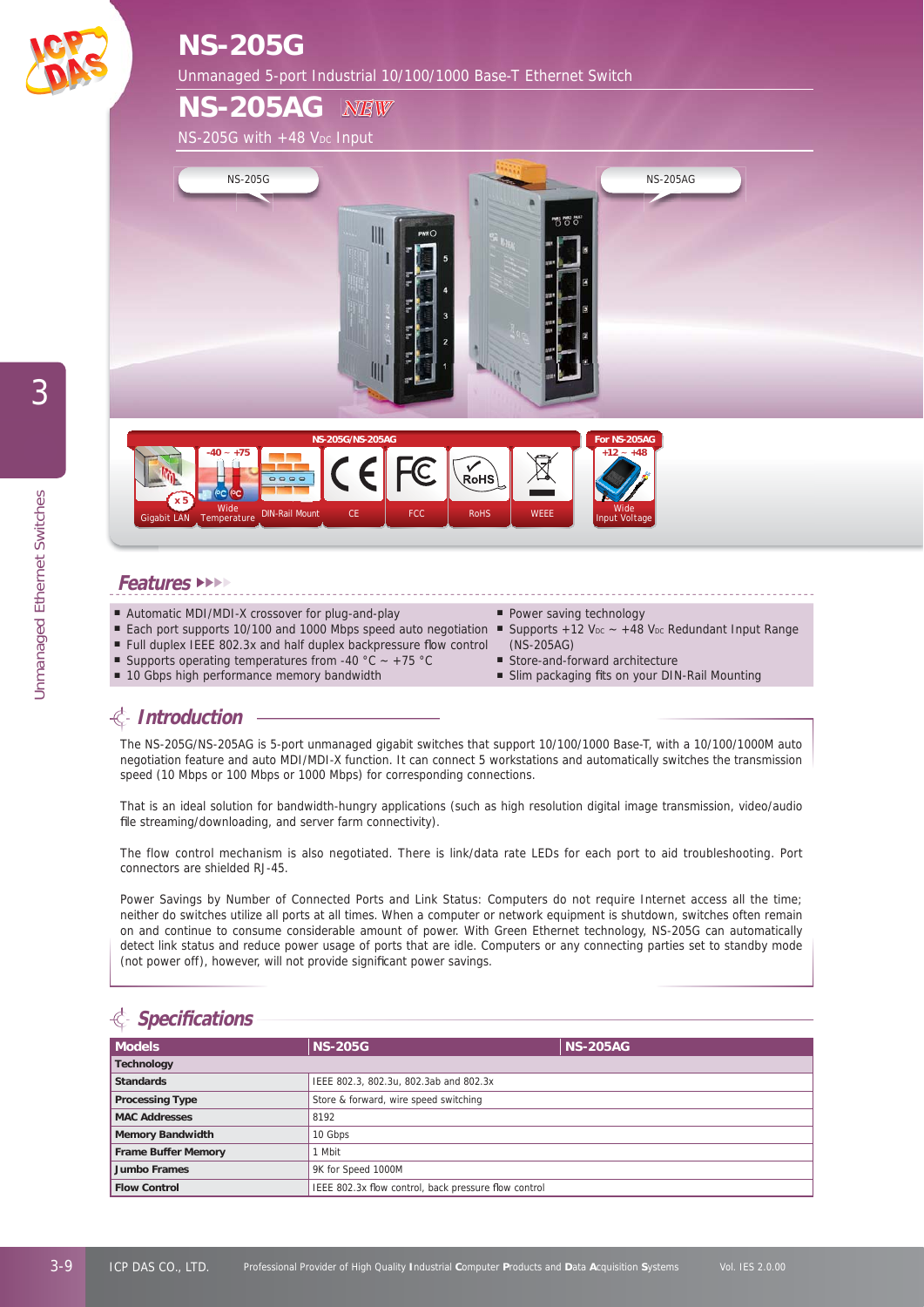

# **NS-205G**

Unmanaged 5-port Industrial 10/100/1000 Base-T Ethernet Switch

**NS-205AG**  $NS-205G$  with  $+48$  V<sub>DC</sub> Input *NEW*





#### **Features** ►►►►

- Automatic MDI/MDI-X crossover for plug-and-play
- Each port supports 10/100 and 1000 Mbps speed auto negotiation  $\blacksquare$  Supports +12 V<sub>DC</sub> ~ +48 V<sub>DC</sub> Redundant Input Range
- Full duplex IEEE 802.3x and half duplex backpressure flow control
- Supports operating temperatures from -40 °C ~ +75 °C
- 10 Gbps high performance memory bandwidth
- Power saving technology
- (NS-205AG)
- Store-and-forward architecture
- Slim packaging fits on your DIN-Rail Mounting

## **Introduction**

The NS-205G/NS-205AG is 5-port unmanaged gigabit switches that support 10/100/1000 Base-T, with a 10/100/1000M auto negotiation feature and auto MDI/MDI-X function. It can connect 5 workstations and automatically switches the transmission speed (10 Mbps or 100 Mbps or 1000 Mbps) for corresponding connections.

That is an ideal solution for bandwidth-hungry applications (such as high resolution digital image transmission, video/audio file streaming/downloading, and server farm connectivity).

The flow control mechanism is also negotiated. There is link/data rate LEDs for each port to aid troubleshooting. Port connectors are shielded RJ-45.

Power Savings by Number of Connected Ports and Link Status: Computers do not require Internet access all the time; neither do switches utilize all ports at all times. When a computer or network equipment is shutdown, switches often remain on and continue to consume considerable amount of power. With Green Ethernet technology, NS-205G can automatically detect link status and reduce power usage of ports that are idle. Computers or any connecting parties set to standby mode (not power off), however, will not provide significant power savings.

# **Specifi cations**

| <b>Models</b>              | <b>NS-205G</b>                                       | <b>NS-205AG</b> |
|----------------------------|------------------------------------------------------|-----------------|
| <b>Technology</b>          |                                                      |                 |
| <b>Standards</b>           | IEEE 802.3, 802.3u, 802.3ab and 802.3x               |                 |
| <b>Processing Type</b>     | Store & forward, wire speed switching                |                 |
| <b>MAC Addresses</b>       | 8192                                                 |                 |
| <b>Memory Bandwidth</b>    | 10 Gbps                                              |                 |
| <b>Frame Buffer Memory</b> | l Mbit                                               |                 |
| <b>Jumbo Frames</b>        | 9K for Speed 1000M                                   |                 |
| <b>Flow Control</b>        | IEEE 802.3x flow control, back pressure flow control |                 |